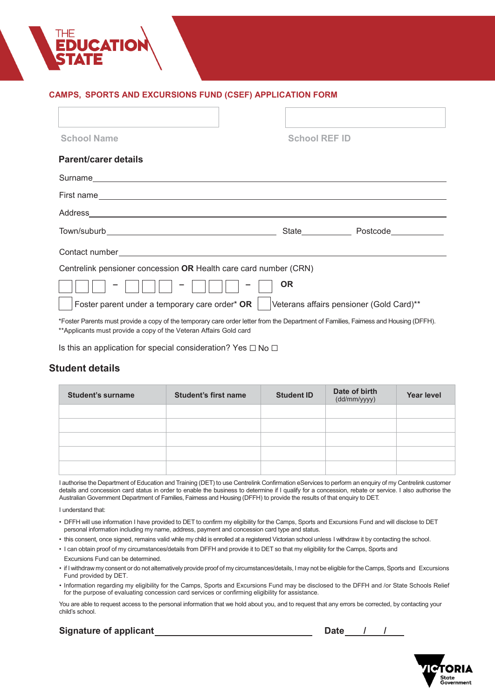# **CAMPS, SPORTS AND EXCURSIONS FUND (CSEF) APPLICATION FORM**

| <b>School Name</b>                                                                                                                                                                                                            | <b>School REF ID</b> |                                          |
|-------------------------------------------------------------------------------------------------------------------------------------------------------------------------------------------------------------------------------|----------------------|------------------------------------------|
| Parent/carer details                                                                                                                                                                                                          |                      |                                          |
|                                                                                                                                                                                                                               |                      |                                          |
|                                                                                                                                                                                                                               |                      |                                          |
|                                                                                                                                                                                                                               |                      |                                          |
|                                                                                                                                                                                                                               |                      | State Postcode Postcode                  |
| Contact number experience and the contract of the contract of the contract of the contract of the contract of the contract of the contract of the contract of the contract of the contract of the contract of the contract of |                      |                                          |
| Centrelink pensioner concession OR Health care card number (CRN)                                                                                                                                                              |                      |                                          |
|                                                                                                                                                                                                                               | <b>OR</b>            |                                          |
| Foster parent under a temporary care order* OR                                                                                                                                                                                |                      | Veterans affairs pensioner (Gold Card)** |
| *Foster Parents must provide a copy of the temporary care order letter from the Department of Families Fairness and Housing (DFFH)                                                                                            |                      |                                          |

\*Foster Parents must provide a copy of the temporary care order letter from the Department of Families, Fairness and Housing (DFFH). \*\*Applicants must provide a copy of the Veteran Affairs Gold card

Is this an application for special consideration? Yes  $\Box$  No  $\Box$ 

# **Student details**

| <b>Student's surname</b> | <b>Student's first name</b> | <b>Student ID</b> | Date of birth<br>(dd/mm/yyyy) | <b>Year level</b> |
|--------------------------|-----------------------------|-------------------|-------------------------------|-------------------|
|                          |                             |                   |                               |                   |
|                          |                             |                   |                               |                   |
|                          |                             |                   |                               |                   |
|                          |                             |                   |                               |                   |
|                          |                             |                   |                               |                   |

I authorise the Department of Education and Training (DET) to use Centrelink Confirmation eServices to perform an enquiry of my Centrelink customer details and concession card status in order to enable the business to determine if I qualify for a concession, rebate or service. I also authorise the Australian Government Department of Families, Fairness and Housing (DFFH) to provide the results of that enquiry to DET.

I understand that:

- DFFH will use information I have provided to DET to confirm my eligibility for the Camps, Sports and Excursions Fund and will disclose to DET personal information including my name, address, payment and concession card type and status.
- this consent, once signed, remains valid while my child is enrolled at a registered Victorian school unless I withdraw it by contacting the school.
- I can obtain proof of my circumstances/details from DFFH and provide it to DET so that my eligibility for the Camps, Sports and Excursions Fund can be determined.
- if I withdraw my consent or do not alternatively provide proof of my circumstances/details, I may not be eligible for the Camps, Sports and Excursions Fund provided by DET.
- Information regarding my eligibility for the Camps, Sports and Excursions Fund may be disclosed to the DFFH and /or State Schools Relief for the purpose of evaluating concession card services or confirming eligibility for assistance.

You are able to request access to the personal information that we hold about you, and to request that any errors be corrected, by contacting your child's school.

**Signature of applicant** 

| <b>Date</b> |
|-------------|
|             |